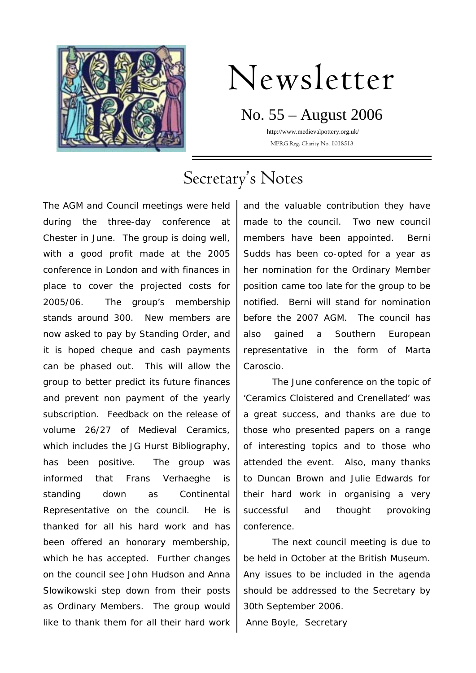

# Newsletter

No. 55 – August 2006 http://www.medievalpottery.org.uk/

MPRG Reg. Charity No. 1018513

# Secretary's Notes

The AGM and Council meetings were held during the three-day conference at Chester in June. The group is doing well, with a good profit made at the 2005 conference in London and with finances in place to cover the projected costs for 2005/06. The group's membership stands around 300. New members are now asked to pay by Standing Order, and it is hoped cheque and cash payments can be phased out. This will allow the group to better predict its future finances and prevent non payment of the yearly subscription. Feedback on the release of volume 26/27 of Medieval Ceramics, which includes the JG Hurst Bibliography, has been positive. The group was informed that Frans Verhaeghe is standing down as Continental Representative on the council. He is thanked for all his hard work and has been offered an honorary membership, which he has accepted. Further changes on the council see John Hudson and Anna Slowikowski step down from their posts as Ordinary Members. The group would like to thank them for all their hard work

and the valuable contribution they have made to the council. Two new council members have been appointed. Berni Sudds has been co-opted for a year as her nomination for the Ordinary Member position came too late for the group to be notified. Berni will stand for nomination before the 2007 AGM. The council has also gained a Southern European representative in the form of Marta Caroscio.

The June conference on the topic of 'Ceramics Cloistered and Crenellated' was a great success, and thanks are due to those who presented papers on a range of interesting topics and to those who attended the event. Also, many thanks to Duncan Brown and Julie Edwards for their hard work in organising a very successful and thought provoking conference.

The next council meeting is due to be held in October at the British Museum. Any issues to be included in the agenda should be addressed to the Secretary by 30th September 2006. Anne Boyle, Secretary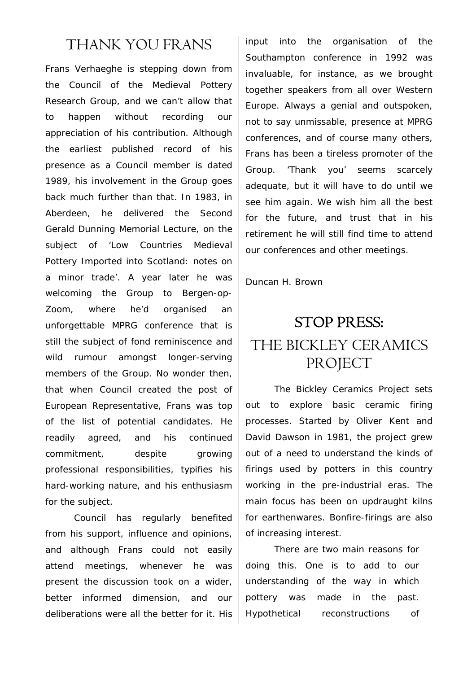#### THANK YOU FRANS

Frans Verhaeghe is stepping down from the Council of the Medieval Pottery Research Group, and we can't allow that to happen without recording our appreciation of his contribution. Although the earliest published record of his presence as a Council member is dated 1989, his involvement in the Group goes back much further than that. In 1983, in Aberdeen, he delivered the Second Gerald Dunning Memorial Lecture, on the subject of 'Low Countries Medieval Pottery Imported into Scotland: notes on a minor trade'. A year later he was welcoming the Group to Bergen-op-Zoom, where he'd organised an unforgettable MPRG conference that is still the subject of fond reminiscence and wild rumour amongst longer-serving members of the Group. No wonder then, that when Council created the post of European Representative, Frans was top of the list of potential candidates. He readily agreed, and his continued commitment, despite growing professional responsibilities, typifies his hard-working nature, and his enthusiasm for the subject.

Council has regularly benefited from his support, influence and opinions, and although Frans could not easily attend meetings, whenever he was present the discussion took on a wider, better informed dimension, and our deliberations were all the better for it. His

input into the organisation of the Southampton conference in 1992 was invaluable, for instance, as we brought together speakers from all over Western Europe. Always a genial and outspoken, not to say unmissable, presence at MPRG conferences, and of course many others, Frans has been a tireless promoter of the Group. 'Thank you' seems scarcely adequate, but it will have to do until we see him again. We wish him all the best for the future, and trust that in his retirement he will still find time to attend our conferences and other meetings.

Duncan H. Brown

## STOP PRESS:

### THE BICKLEY CERAMICS **PROJECT**

The Bickley Ceramics Project sets out to explore basic ceramic firing processes. Started by Oliver Kent and David Dawson in 1981, the project grew out of a need to understand the kinds of firings used by potters in this country working in the pre-industrial eras. The main focus has been on updraught kilns for earthenwares. Bonfire-firings are also of increasing interest.

 There are two main reasons for doing this. One is to add to our understanding of the way in which pottery was made in the past. Hypothetical reconstructions of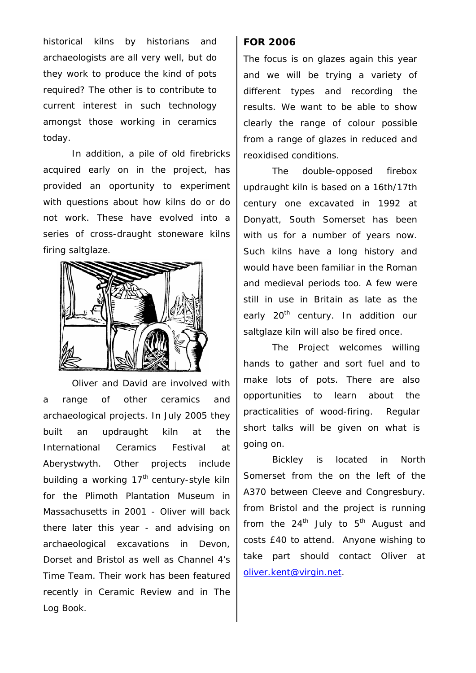historical kilns by historians and archaeologists are all very well, but do they work to produce the kind of pots required? The other is to contribute to current interest in such technology amongst those working in ceramics today.

In addition, a pile of old firebricks acquired early on in the project, has provided an oportunity to experiment with questions about how kilns do or do not work. These have evolved into a series of cross-draught stoneware kilns firing saltglaze.



 Oliver and David are involved with a range of other ceramics and archaeological projects. In July 2005 they built an updraught kiln at the International Ceramics Festival at Aberystwyth. Other projects include building a working  $17<sup>th</sup>$  century-style kiln for the Plimoth Plantation Museum in Massachusetts in 2001 - Oliver will back there later this year - and advising on archaeological excavations in Devon, Dorset and Bristol as well as Channel 4's *Time Team*. Their work has been featured recently in *Ceramic Review* and in *The Log Book*.

#### **FOR 2006**

The focus is on glazes again this year and we will be trying a variety of different types and recording the results. We want to be able to show clearly the range of colour possible from a range of glazes in reduced and reoxidised conditions.

The double-opposed firebox updraught kiln is based on a 16th/17th century one excavated in 1992 at Donyatt, South Somerset has been with us for a number of years now. Such kilns have a long history and would have been familiar in the Roman and medieval periods too. A few were still in use in Britain as late as the early 20<sup>th</sup> century. In addition our saltglaze kiln will also be fired once.

The Project welcomes willing hands to gather and sort fuel and to make lots of pots. There are also opportunities to learn about the practicalities of wood-firing. Regular short talks will be given on what is going on.

Bickley is located in North Somerset from the on the left of the A370 between Cleeve and Congresbury. from Bristol and the project is running from the  $24<sup>th</sup>$  July to  $5<sup>th</sup>$  August and costs £40 to attend. Anyone wishing to take part should contact Oliver at [oliver.kent@virgin.net](mailto:oliver.kent@virgin.net).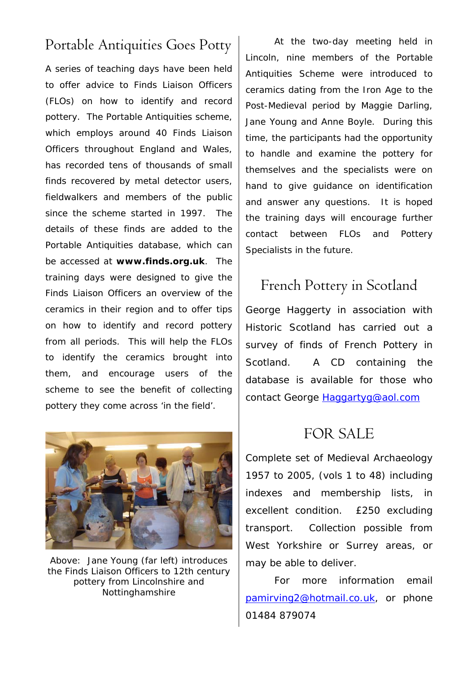### Portable Antiquities Goes Potty

A series of teaching days have been held to offer advice to Finds Liaison Officers (FLOs) on how to identify and record pottery. The Portable Antiquities scheme, which employs around 40 Finds Liaison Officers throughout England and Wales, has recorded tens of thousands of small finds recovered by metal detector users, fieldwalkers and members of the public since the scheme started in 1997. The details of these finds are added to the Portable Antiquities database, which can be accessed at **www.finds.org.uk**. The training days were designed to give the Finds Liaison Officers an overview of the ceramics in their region and to offer tips on how to identify and record pottery from all periods. This will help the FLOs to identify the ceramics brought into them, and encourage users of the scheme to see the benefit of collecting pottery they come across 'in the field'.



Above: Jane Young (far left) introduces the Finds Liaison Officers to 12th century pottery from Lincolnshire and Nottinghamshire

At the two-day meeting held in Lincoln, nine members of the Portable Antiquities Scheme were introduced to ceramics dating from the Iron Age to the Post-Medieval period by Maggie Darling, Jane Young and Anne Boyle. During this time, the participants had the opportunity to handle and examine the pottery for themselves and the specialists were on hand to give guidance on identification and answer any questions. It is hoped the training days will encourage further contact between FLOs and Pottery Specialists in the future.

## French Pottery in Scotland

George Haggerty in association with Historic Scotland has carried out a survey of finds of French Pottery in Scotland. A CD containing the database is available for those who contact George [Haggartyg@aol.com](mailto:Haggartyg@aol.com)

#### FOR SALE

Complete set of Medieval Archaeology 1957 to 2005, (vols 1 to 48) including indexes and membership lists, in excellent condition. £250 excluding transport. Collection possible from West Yorkshire or Surrey areas, or may be able to deliver.

For more information email [pamirving2@hotmail.co.uk](mailto:pamirving2@hotmail.co.uk), or phone 01484 879074